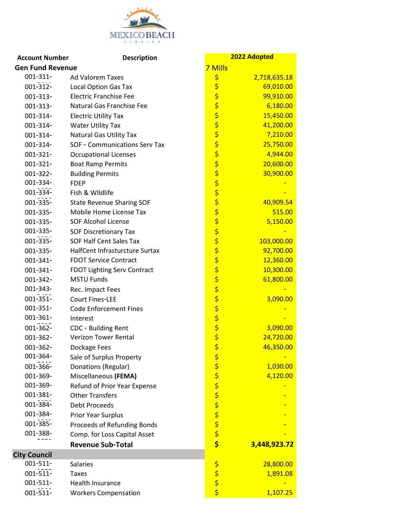

| <b>Account Number</b>   | <b>Description</b>               |                                | 2022 Adopted |
|-------------------------|----------------------------------|--------------------------------|--------------|
| <b>Gen Fund Revenue</b> |                                  | 7 Mills                        |              |
| 001-311-                | <b>Ad Valorem Taxes</b>          | \$                             | 2,718,635.18 |
| 001-312-                | <b>Local Option Gas Tax</b>      |                                | 69,010.00    |
| 001-313-                | <b>Electric Franchise Fee</b>    |                                | 99,910.00    |
| 001-313-                | Natural Gas Franchise Fee        |                                | 6,180.00     |
| 001-314-                | <b>Electric Utility Tax</b>      |                                | 15,450.00    |
| 001-314-                | <b>Water Utility Tax</b>         |                                | 41,200.00    |
| 001-314-                | <b>Natural Gas Utility Tax</b>   |                                | 7,210.00     |
| 001-314-                | SOF - Communications Serv Tax    |                                | 25,750.00    |
| 001-321-                | <b>Occupational Licenses</b>     |                                | 4,944.00     |
| 001-321-                | <b>Boat Ramp Permits</b>         |                                | 20,600.00    |
| 001-322-                | <b>Building Permits</b>          |                                | 30,900.00    |
| 001-334-                | <b>FDEP</b>                      |                                |              |
| 001-334-                | Fish & Wildlife                  |                                |              |
| 001-335-                | <b>State Revenue Sharing SOF</b> |                                | 40,909.54    |
| 001-335-                | Mobile Home License Tax          |                                | 515.00       |
| 001-335-                | <b>SOF Alcohol License</b>       |                                | 5,150.00     |
| 001-335-                | <b>SOF Discretionary Tax</b>     |                                |              |
| 001-335-                | <b>SOF Half Cent Sales Tax</b>   |                                | 103,000.00   |
| 001-335-                | HalfCent Infrasturcture Surtax   |                                | 92,700.00    |
| 001-341-                | <b>FDOT Service Contract</b>     |                                | 12,360.00    |
| 001-341-                | FDOT Lighting Serv Contract      |                                | 10,300.00    |
| 001-342-                | <b>MSTU Funds</b>                |                                | 61,800.00    |
| 001-343-                | Rec. Impact Fees                 | や やややや ややややややややややややややややややややややや |              |
| $001 - 351 -$           | <b>Court Fines-LEE</b>           |                                | 3,090.00     |
| 001-351-                | <b>Code Enforcement Fines</b>    |                                |              |
| 001-361-                | Interest                         |                                |              |
| 001-362-                | CDC - Building Rent              |                                | 3,090.00     |
| 001-362-                | <b>Verizon Tower Rental</b>      |                                | 24,720.00    |
| 001-362-                | Dockage Fees                     |                                | 46,350.00    |
| 001-364-                | Sale of Surplus Property         |                                |              |
| 001-366-                | Donations (Regular)              |                                | 1,030.00     |
| 001-369-                | Miscellaneous (FEMA)             |                                | 4,120.00     |
| 001-369-                | Refund of Prior Year Expense     |                                |              |
| 001-381-                | <b>Other Transfers</b>           |                                |              |
| 001-384-                | <b>Debt Proceeds</b>             |                                |              |
| 001-384-                | Prior Year Surplus               | ぐぐぐ こうこ                        |              |
| 001-385-                | Proceeds of Refunding Bonds      |                                |              |
| 001-388-                | Comp. for Loss Capital Asset     |                                |              |
|                         | <b>Revenue Sub-Total</b>         | \$                             | 3,448,923.72 |
| <b>City Council</b>     |                                  |                                |              |
| 001-511-                | <b>Salaries</b>                  |                                | 28,800.00    |
| 001-511-                | <b>Taxes</b>                     | \$\$\$                         | 1,891.08     |
| 001-511-                | Health Insurance                 |                                |              |
| $001 - 511 -$           | <b>Workers Compensation</b>      | $\overline{\mathsf{S}}$        | 1,107.25     |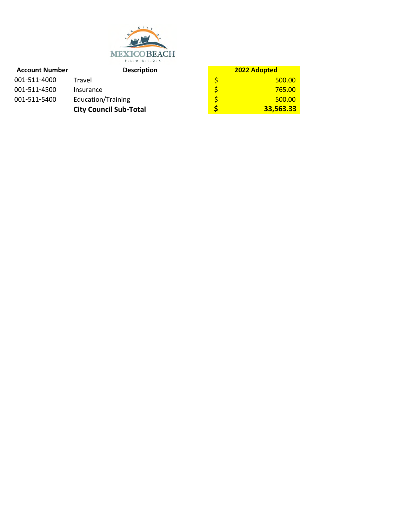

| <b>Account Number</b> | <b>Description</b>            | 2022 Adopted    |
|-----------------------|-------------------------------|-----------------|
| 001-511-4000          | Travel                        | 500.00          |
| 001-511-4500          | Insurance                     | 765.00          |
| 001-511-5400          | <b>Education/Training</b>     | 500.00          |
|                       | <b>City Council Sub-Total</b> | \$<br>33,563.33 |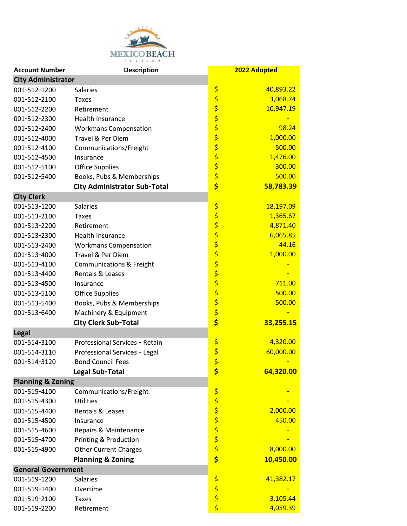

| <b>Account Number</b>        | <b>Description</b>                  |                                 | 2022 Adopted |
|------------------------------|-------------------------------------|---------------------------------|--------------|
| <b>City Administrator</b>    |                                     |                                 |              |
| 001-512-1200                 | <b>Salaries</b>                     | \$                              | 40,893.22    |
| 001-512-2100                 | <b>Taxes</b>                        | \$                              | 3,068.74     |
| 001-512-2200                 | Retirement                          | \$                              | 10,947.19    |
| 001-512-2300                 | Health Insurance                    | \$                              |              |
| 001-512-2400                 | <b>Workmans Compensation</b>        | \$                              | 98.24        |
| 001-512-4000                 | Travel & Per Diem                   | \$                              | 1,000.00     |
| 001-512-4100                 | Communications/Freight              | \$                              | 500.00       |
| 001-512-4500                 | Insurance                           | \$                              | 1,476.00     |
| 001-512-5100                 | <b>Office Supplies</b>              | \$                              | 300.00       |
| 001-512-5400                 | Books, Pubs & Memberships           | \$                              | 500.00       |
|                              | <b>City Administrator Sub-Total</b> | \$                              | 58,783.39    |
| <b>City Clerk</b>            |                                     |                                 |              |
| 001-513-1200                 | <b>Salaries</b>                     | \$                              | 18,197.09    |
| 001-513-2100                 | <b>Taxes</b>                        | \$                              | 1,365.67     |
| 001-513-2200                 | Retirement                          | \$                              | 4,871.40     |
| 001-513-2300                 | Health Insurance                    | \$                              | 6,065.85     |
| 001-513-2400                 | <b>Workmans Compensation</b>        | \$                              | 44.16        |
| 001-513-4000                 | Travel & Per Diem                   | \$                              | 1,000.00     |
| 001-513-4100                 | Communications & Freight            | $\overline{\boldsymbol{\zeta}}$ |              |
| 001-513-4400                 | Rentals & Leases                    | \$                              |              |
| 001-513-4500                 | Insurance                           | \$                              | 711.00       |
| 001-513-5100                 | <b>Office Supplies</b>              | \$                              | 500.00       |
| 001-513-5400                 | Books, Pubs & Memberships           | \$                              | 500.00       |
| 001-513-6400                 | Machinery & Equipment               | \$                              |              |
|                              | <b>City Clerk Sub-Total</b>         | \$                              | 33,255.15    |
| <b>Legal</b>                 |                                     |                                 |              |
| 001-514-3100                 | Professional Services - Retain      | \$                              | 4,320.00     |
| 001-514-3110                 | Professional Services - Legal       | \$                              | 60,000.00    |
| 001-514-3120                 | <b>Bond Council Fees</b>            | \$                              |              |
|                              | <b>Legal Sub-Total</b>              | \$                              | 64,320.00    |
| <b>Planning &amp; Zoning</b> |                                     |                                 |              |
| 001-515-4100                 | Communications/Freight              | $\boldsymbol{\zeta}$            |              |
| 001-515-4300                 | <b>Utilities</b>                    | \$                              |              |
| 001-515-4400                 | Rentals & Leases                    | \$                              | 2,000.00     |
| 001-515-4500                 | Insurance                           | \$                              | 450.00       |
| 001-515-4600                 | Repairs & Maintenance               |                                 |              |
| 001-515-4700                 | Printing & Production               | $\frac{1}{2}$                   |              |
| 001-515-4900                 | <b>Other Current Charges</b>        | \$                              | 8,000.00     |
|                              | <b>Planning &amp; Zoning</b>        | \$                              | 10,450.00    |
| <b>General Government</b>    |                                     |                                 |              |
| 001-519-1200                 | <b>Salaries</b>                     | \$                              | 41,382.17    |
| 001-519-1400                 | Overtime                            | \$                              |              |
| 001-519-2100                 |                                     | \$                              | 3,105.44     |
|                              | <b>Taxes</b>                        | $\overline{\mathsf{S}}$         | 4,059.39     |
| 001-519-2200                 | Retirement                          |                                 |              |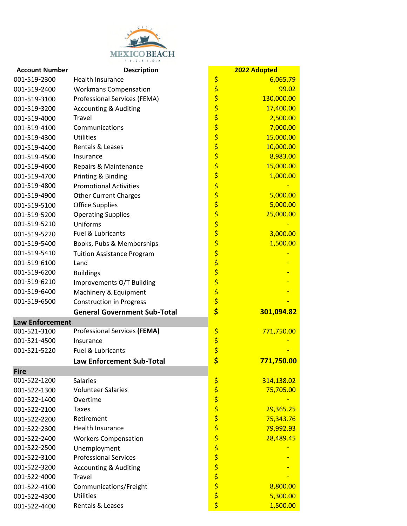

| <b>Account Number</b>  | <b>Description</b>                  | 2022 Adopted     |
|------------------------|-------------------------------------|------------------|
| 001-519-2300           | Health Insurance                    | \$<br>6,065.79   |
| 001-519-2400           | <b>Workmans Compensation</b>        | \$<br>99.02      |
| 001-519-3100           | Professional Services (FEMA)        | \$<br>130,000.00 |
| 001-519-3200           | <b>Accounting &amp; Auditing</b>    | \$<br>17,400.00  |
| 001-519-4000           | Travel                              | \$<br>2,500.00   |
| 001-519-4100           | Communications                      | \$<br>7,000.00   |
| 001-519-4300           | <b>Utilities</b>                    | \$<br>15,000.00  |
| 001-519-4400           | Rentals & Leases                    | \$<br>10,000.00  |
| 001-519-4500           | Insurance                           | \$<br>8,983.00   |
| 001-519-4600           | Repairs & Maintenance               | \$<br>15,000.00  |
| 001-519-4700           | Printing & Binding                  | \$<br>1,000.00   |
| 001-519-4800           | <b>Promotional Activities</b>       | \$               |
| 001-519-4900           | <b>Other Current Charges</b>        | \$<br>5,000.00   |
| 001-519-5100           | <b>Office Supplies</b>              | \$<br>5,000.00   |
| 001-519-5200           | <b>Operating Supplies</b>           | \$<br>25,000.00  |
| 001-519-5210           | Uniforms                            | \$               |
| 001-519-5220           | Fuel & Lubricants                   | \$<br>3,000.00   |
| 001-519-5400           | Books, Pubs & Memberships           | \$<br>1,500.00   |
| 001-519-5410           | <b>Tuition Assistance Program</b>   | \$               |
| 001-519-6100           | Land                                | \$               |
| 001-519-6200           | <b>Buildings</b>                    | \$               |
| 001-519-6210           | Improvements O/T Building           | \$               |
| 001-519-6400           | Machinery & Equipment               | \$               |
| 001-519-6500           | <b>Construction in Progress</b>     | \$               |
|                        | <b>General Government Sub-Total</b> | \$<br>301,094.82 |
| <b>Law Enforcement</b> |                                     |                  |
| 001-521-3100           | Professional Services (FEMA)        | \$<br>771,750.00 |
| 001-521-4500           | Insurance                           | \$               |
| 001-521-5220           | Fuel & Lubricants                   | \$               |
|                        | <b>Law Enforcement Sub-Total</b>    | \$<br>771,750.00 |
| <b>Fire</b>            |                                     |                  |
| 001-522-1200           | <b>Salaries</b>                     | \$<br>314,138.02 |
| 001-522-1300           | <b>Volunteer Salaries</b>           | \$<br>75,705.00  |
| 001-522-1400           | Overtime                            | \$               |
| 001-522-2100           | <b>Taxes</b>                        | \$<br>29,365.25  |
| 001-522-2200           | Retirement                          | \$<br>75,343.76  |
| 001-522-2300           | Health Insurance                    | \$<br>79,992.93  |
| 001-522-2400           | <b>Workers Compensation</b>         | \$<br>28,489.45  |
| 001-522-2500           | Unemployment                        | \$               |
| 001-522-3100           | <b>Professional Services</b>        | \$               |
| 001-522-3200           | <b>Accounting &amp; Auditing</b>    | \$               |
| 001-522-4000           | Travel                              | \$               |
| 001-522-4100           | Communications/Freight              | \$<br>8,800.00   |
| 001-522-4300           | <b>Utilities</b>                    | \$<br>5,300.00   |
|                        |                                     |                  |
| 001-522-4400           | Rentals & Leases                    | \$<br>1,500.00   |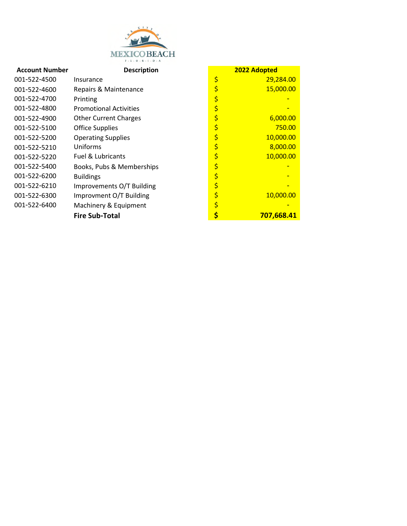

| <b>Account Number</b> | <b>Description</b>            | 2022 Adopted    |
|-----------------------|-------------------------------|-----------------|
| 001-522-4500          | Insurance                     | \$<br>29,284.00 |
| 001-522-4600          | Repairs & Maintenance         | \$<br>15,000.00 |
| 001-522-4700          | Printing                      | \$              |
| 001-522-4800          | <b>Promotional Activities</b> | \$              |
| 001-522-4900          | <b>Other Current Charges</b>  | \$<br>6,000.00  |
| 001-522-5100          | <b>Office Supplies</b>        | \$<br>750.00    |
| 001-522-5200          | <b>Operating Supplies</b>     | \$<br>10,000.00 |
| 001-522-5210          | Uniforms                      | \$<br>8,000.00  |
| 001-522-5220          | <b>Fuel &amp; Lubricants</b>  | \$<br>10,000.00 |
| 001-522-5400          | Books, Pubs & Memberships     | \$              |
| 001-522-6200          | <b>Buildings</b>              | \$              |
| 001-522-6210          | Improvements O/T Building     | \$              |
| 001-522-6300          | Improvment O/T Building       | \$<br>10,000.00 |
| 001-522-6400          | Machinery & Equipment         | \$              |
|                       | <b>Fire Sub-Total</b>         | 707,668.41      |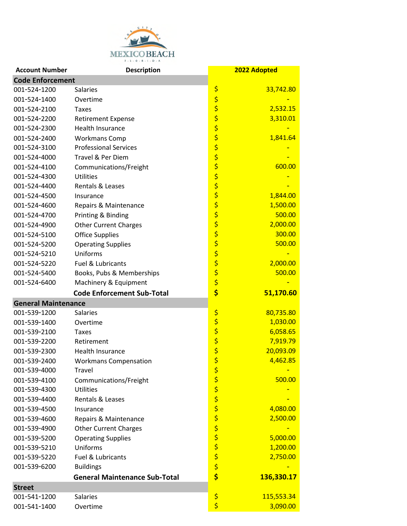

| <b>Account Number</b>      | <b>Description</b>                   |                               | 2022 Adopted |
|----------------------------|--------------------------------------|-------------------------------|--------------|
| <b>Code Enforcement</b>    |                                      |                               |              |
| 001-524-1200               | <b>Salaries</b>                      | $\varsigma$                   | 33,742.80    |
| 001-524-1400               | Overtime                             | \$                            |              |
| 001-524-2100               | <b>Taxes</b>                         | \$                            | 2,532.15     |
| 001-524-2200               | <b>Retirement Expense</b>            | \$                            | 3,310.01     |
| 001-524-2300               | Health Insurance                     | \$                            |              |
| 001-524-2400               | <b>Workmans Comp</b>                 | \$                            | 1,841.64     |
| 001-524-3100               | <b>Professional Services</b>         | \$                            |              |
| 001-524-4000               | Travel & Per Diem                    | $\frac{5}{5}$                 |              |
| 001-524-4100               | Communications/Freight               |                               | 600.00       |
| 001-524-4300               | <b>Utilities</b>                     | $\frac{1}{2}$                 |              |
| 001-524-4400               | Rentals & Leases                     |                               |              |
| 001-524-4500               | Insurance                            | \$                            | 1,844.00     |
| 001-524-4600               | Repairs & Maintenance                | \$                            | 1,500.00     |
| 001-524-4700               | Printing & Binding                   | \$                            | 500.00       |
| 001-524-4900               | <b>Other Current Charges</b>         | \$                            | 2,000.00     |
| 001-524-5100               | <b>Office Supplies</b>               | \$                            | 300.00       |
| 001-524-5200               | <b>Operating Supplies</b>            | \$                            | 500.00       |
| 001-524-5210               | Uniforms                             | \$                            |              |
| 001-524-5220               | Fuel & Lubricants                    | \$                            | 2,000.00     |
| 001-524-5400               | Books, Pubs & Memberships            | \$                            | 500.00       |
| 001-524-6400               | Machinery & Equipment                | \$                            |              |
|                            | <b>Code Enforcement Sub-Total</b>    | \$                            | 51,170.60    |
| <b>General Maintenance</b> |                                      |                               |              |
| 001-539-1200               | <b>Salaries</b>                      | $\varsigma$                   | 80,735.80    |
| 001-539-1400               | Overtime                             | \$                            | 1,030.00     |
| 001-539-2100               | <b>Taxes</b>                         | \$                            | 6,058.65     |
| 001-539-2200               | Retirement                           | \$                            | 7,919.79     |
| 001-539-2300               | Health Insurance                     | \$                            | 20,093.09    |
| 001-539-2400               | <b>Workmans Compensation</b>         | \$                            | 4,462.85     |
| 001-539-4000               | Travel                               |                               |              |
| 001-539-4100               | Communications/Freight               | $\frac{1}{2}$                 | 500.00       |
| 001-539-4300               | <b>Utilities</b>                     | \$                            |              |
| 001-539-4400               | Rentals & Leases                     |                               |              |
| 001-539-4500               | Insurance                            | $\frac{1}{2}$                 | 4,080.00     |
| 001-539-4600               | Repairs & Maintenance                | \$                            | 2,500.00     |
| 001-539-4900               | <b>Other Current Charges</b>         |                               |              |
| 001-539-5200               | <b>Operating Supplies</b>            | $\frac{5}{5}$                 | 5,000.00     |
| 001-539-5210               | Uniforms                             | $\overline{\boldsymbol{\xi}}$ | 1,200.00     |
| 001-539-5220               | Fuel & Lubricants                    | \$                            | 2,750.00     |
| 001-539-6200               | <b>Buildings</b>                     | \$                            |              |
|                            | <b>General Maintenance Sub-Total</b> | \$                            | 136,330.17   |
| <b>Street</b>              |                                      |                               |              |
| 001-541-1200               | <b>Salaries</b>                      | \$                            | 115,553.34   |
| 001-541-1400               | Overtime                             | \$                            | 3,090.00     |
|                            |                                      |                               |              |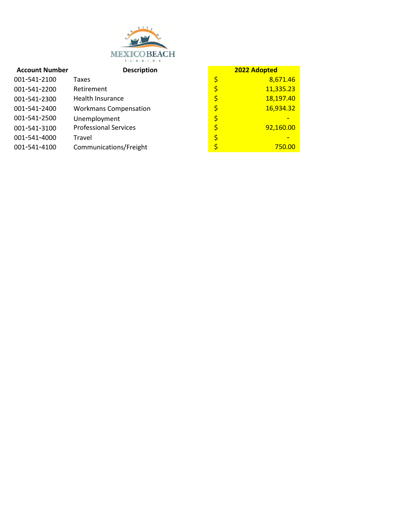

| <b>Account Number</b> | <b>Description</b>           | 2022 Adopted    |
|-----------------------|------------------------------|-----------------|
| 001-541-2100          | Taxes                        | \$<br>8,671.46  |
| 001-541-2200          | Retirement                   | \$<br>11,335.23 |
| 001-541-2300          | Health Insurance             | \$<br>18,197.40 |
| 001-541-2400          | <b>Workmans Compensation</b> | \$<br>16,934.32 |
| 001-541-2500          | Unemployment                 | \$              |
| 001-541-3100          | <b>Professional Services</b> | \$<br>92,160.00 |
| 001-541-4000          | Travel                       | \$              |
| 001-541-4100          | Communications/Freight       | \$<br>750.00    |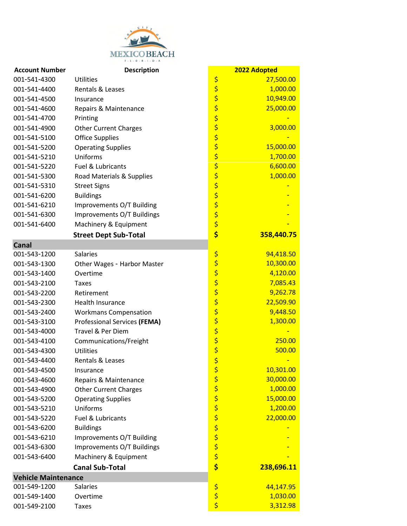

| <b>Account Number</b>      | <b>Description</b>           |               | 2022 Adopted |
|----------------------------|------------------------------|---------------|--------------|
| 001-541-4300               | <b>Utilities</b>             | \$            | 27,500.00    |
| 001-541-4400               | Rentals & Leases             | \$            | 1,000.00     |
| 001-541-4500               | Insurance                    | \$            | 10,949.00    |
| 001-541-4600               | Repairs & Maintenance        | \$            | 25,000.00    |
| 001-541-4700               | Printing                     | \$            |              |
| 001-541-4900               | <b>Other Current Charges</b> | \$            | 3,000.00     |
| 001-541-5100               | <b>Office Supplies</b>       | \$            |              |
| 001-541-5200               | <b>Operating Supplies</b>    | \$            | 15,000.00    |
| 001-541-5210               | Uniforms                     | \$            | 1,700.00     |
| 001-541-5220               | Fuel & Lubricants            | \$            | 6,600.00     |
| 001-541-5300               | Road Materials & Supplies    | \$            | 1,000.00     |
| 001-541-5310               | <b>Street Signs</b>          | \$            |              |
| 001-541-6200               | <b>Buildings</b>             | \$            |              |
| 001-541-6210               | Improvements O/T Building    | \$            |              |
| 001-541-6300               | Improvements O/T Buildings   | \$            |              |
| 001-541-6400               | Machinery & Equipment        | \$            |              |
|                            | <b>Street Dept Sub-Total</b> | \$            | 358,440.75   |
| Canal                      |                              |               |              |
| 001-543-1200               | <b>Salaries</b>              | \$            | 94,418.50    |
| 001-543-1300               | Other Wages - Harbor Master  | \$            | 10,300.00    |
| 001-543-1400               | Overtime                     | \$            | 4,120.00     |
| 001-543-2100               | <b>Taxes</b>                 | \$            | 7,085.43     |
| 001-543-2200               | Retirement                   | \$            | 9,262.78     |
| 001-543-2300               | Health Insurance             | \$            | 22,509.90    |
| 001-543-2400               | <b>Workmans Compensation</b> | \$            | 9,448.50     |
| 001-543-3100               | Professional Services (FEMA) | \$            | 1,300.00     |
| 001-543-4000               | Travel & Per Diem            | \$            |              |
| 001-543-4100               | Communications/Freight       | \$            | 250.00       |
| 001-543-4300               | <b>Utilities</b>             | \$            | 500.00       |
| 001-543-4400               | Rentals & Leases             | \$            |              |
| 001-543-4500               | Insurance                    | \$            | 10,301.00    |
| 001-543-4600               | Repairs & Maintenance        | \$            | 30,000.00    |
| 001-543-4900               | <b>Other Current Charges</b> | \$            | 1,000.00     |
| 001-543-5200               | <b>Operating Supplies</b>    |               | 15,000.00    |
| 001-543-5210               | Uniforms                     | $\frac{1}{2}$ | 1,200.00     |
| 001-543-5220               | Fuel & Lubricants            | \$            | 22,000.00    |
| 001-543-6200               | <b>Buildings</b>             | \$            |              |
| 001-543-6210               | Improvements O/T Building    | \$            |              |
| 001-543-6300               | Improvements O/T Buildings   | \$            |              |
| 001-543-6400               | Machinery & Equipment        | \$            |              |
|                            | <b>Canal Sub-Total</b>       | \$            | 238,696.11   |
| <b>Vehicle Maintenance</b> |                              |               |              |
| 001-549-1200               | Salaries                     | \$            | 44,147.95    |
| 001-549-1400               | Overtime                     | \$            | 1,030.00     |
| 001-549-2100               | <b>Taxes</b>                 | \$            | 3,312.98     |
|                            |                              |               |              |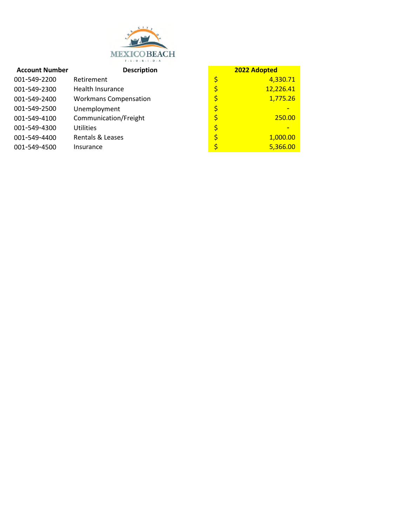

| <b>Account Number</b> | <b>Description</b>           | 2022 Adopted    |
|-----------------------|------------------------------|-----------------|
| 001-549-2200          | Retirement                   | \$<br>4,330.71  |
| 001-549-2300          | Health Insurance             | \$<br>12,226.41 |
| 001-549-2400          | <b>Workmans Compensation</b> | \$<br>1,775.26  |
| 001-549-2500          | Unemployment                 | \$              |
| 001-549-4100          | Communication/Freight        | \$<br>250.00    |
| 001-549-4300          | Utilities                    | \$              |
| 001-549-4400          | Rentals & Leases             | \$<br>1,000.00  |
| 001-549-4500          | Insurance                    | \$<br>5,366.00  |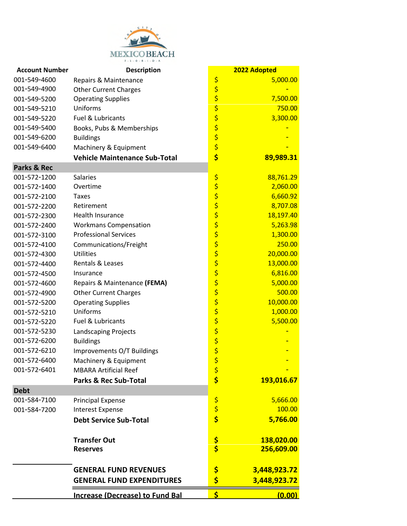

| <b>Account Number</b> | <b>Description</b>                     |                    | 2022 Adopted  |
|-----------------------|----------------------------------------|--------------------|---------------|
| 001-549-4600          | Repairs & Maintenance                  | \$                 | 5,000.00      |
| 001-549-4900          | <b>Other Current Charges</b>           | $\frac{1}{2}$      |               |
| 001-549-5200          | <b>Operating Supplies</b>              |                    | 7,500.00      |
| 001-549-5210          | Uniforms                               | \$                 | 750.00        |
| 001-549-5220          | Fuel & Lubricants                      | \$                 | 3,300.00      |
| 001-549-5400          | Books, Pubs & Memberships              | \$                 |               |
| 001-549-6200          | <b>Buildings</b>                       | \$                 |               |
| 001-549-6400          | Machinery & Equipment                  | \$                 |               |
|                       | <b>Vehicle Maintenance Sub-Total</b>   | \$                 | 89,989.31     |
| Parks & Rec           |                                        |                    |               |
| 001-572-1200          | <b>Salaries</b>                        | \$                 | 88,761.29     |
| 001-572-1400          | Overtime                               | \$                 | 2,060.00      |
| 001-572-2100          | <b>Taxes</b>                           | \$                 | 6,660.92      |
| 001-572-2200          | Retirement                             | \$                 | 8,707.08      |
| 001-572-2300          | Health Insurance                       | \$                 | 18,197.40     |
| 001-572-2400          | <b>Workmans Compensation</b>           | \$                 | 5,263.98      |
| 001-572-3100          | <b>Professional Services</b>           | \$                 | 1,300.00      |
| 001-572-4100          | Communications/Freight                 | \$                 | 250.00        |
| 001-572-4300          | <b>Utilities</b>                       | \$                 | 20,000.00     |
| 001-572-4400          | Rentals & Leases                       | \$                 | 13,000.00     |
| 001-572-4500          | Insurance                              | \$                 | 6,816.00      |
| 001-572-4600          | Repairs & Maintenance (FEMA)           | \$                 | 5,000.00      |
| 001-572-4900          | <b>Other Current Charges</b>           | \$                 | 500.00        |
| 001-572-5200          | <b>Operating Supplies</b>              | \$                 | 10,000.00     |
| 001-572-5210          | Uniforms                               | \$                 | 1,000.00      |
| 001-572-5220          | Fuel & Lubricants                      | \$                 | 5,500.00      |
| 001-572-5230          | Landscaping Projects                   | \$                 |               |
| 001-572-6200          | <b>Buildings</b>                       | \$                 |               |
| 001-572-6210          | Improvements O/T Buildings             | $\frac{5}{5}$      |               |
| 001-572-6400          | Machinery & Equipment                  |                    |               |
| 001-572-6401          | <b>MBARA Artificial Reef</b>           | \$                 |               |
|                       | <b>Parks &amp; Rec Sub-Total</b>       | \$                 | 193,016.67    |
| <b>Debt</b>           |                                        |                    |               |
| 001-584-7100          | <b>Principal Expense</b>               | \$                 | 5,666.00      |
| 001-584-7200          | <b>Interest Expense</b>                | \$                 | 100.00        |
|                       | <b>Debt Service Sub-Total</b>          | \$                 | 5,766.00      |
|                       | <b>Transfer Out</b>                    | \$                 | 138,020.00    |
|                       | <b>Reserves</b>                        | \$                 | 256,609.00    |
|                       | <b>GENERAL FUND REVENUES</b>           | \$                 | 3,448,923.72  |
|                       | <b>GENERAL FUND EXPENDITURES</b>       | \$                 | 3,448,923.72  |
|                       | <b>Increase (Decrease) to Fund Bal</b> | $\mathsf{\dot{S}}$ | <u>(0.00)</u> |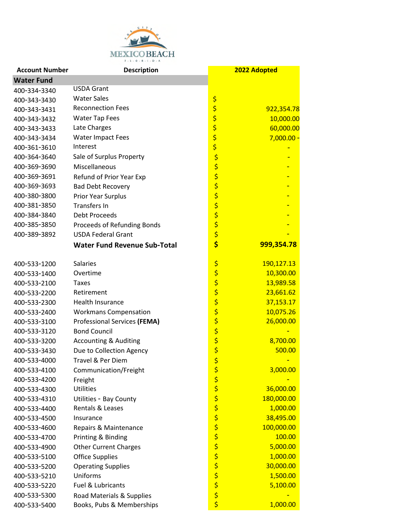

| <b>Account Number</b> | <b>Description</b>                  |               | 2022 Adopted |
|-----------------------|-------------------------------------|---------------|--------------|
| <b>Water Fund</b>     |                                     |               |              |
| 400-334-3340          | <b>USDA Grant</b>                   |               |              |
| 400-343-3430          | <b>Water Sales</b>                  | $\varsigma$   |              |
| 400-343-3431          | <b>Reconnection Fees</b>            | \$            | 922,354.78   |
| 400-343-3432          | <b>Water Tap Fees</b>               | $\frac{1}{2}$ | 10,000.00    |
| 400-343-3433          | Late Charges                        |               | 60,000.00    |
| 400-343-3434          | <b>Water Impact Fees</b>            | \$            | $7,000.00 -$ |
| 400-361-3610          | Interest                            | \$            |              |
| 400-364-3640          | Sale of Surplus Property            | \$            |              |
| 400-369-3690          | Miscellaneous                       | \$            |              |
| 400-369-3691          | Refund of Prior Year Exp            | \$            |              |
| 400-369-3693          | <b>Bad Debt Recovery</b>            | \$            |              |
| 400-380-3800          | Prior Year Surplus                  | \$            |              |
| 400-381-3850          | <b>Transfers In</b>                 | \$            |              |
| 400-384-3840          | <b>Debt Proceeds</b>                | \$            |              |
| 400-385-3850          | Proceeds of Refunding Bonds         | \$            |              |
| 400-389-3892          | <b>USDA Federal Grant</b>           | \$            |              |
|                       | <b>Water Fund Revenue Sub-Total</b> | \$            | 999,354.78   |
|                       |                                     |               |              |
| 400-533-1200          | <b>Salaries</b>                     | \$            | 190,127.13   |
| 400-533-1400          | Overtime                            | \$            | 10,300.00    |
| 400-533-2100          | <b>Taxes</b>                        | \$            | 13,989.58    |
| 400-533-2200          | Retirement                          | \$            | 23,661.62    |
| 400-533-2300          | <b>Health Insurance</b>             | \$            | 37,153.17    |
| 400-533-2400          | <b>Workmans Compensation</b>        | \$            | 10,075.26    |
| 400-533-3100          | Professional Services (FEMA)        | \$            | 26,000.00    |
| 400-533-3120          | <b>Bond Council</b>                 |               |              |
| 400-533-3200          | <b>Accounting &amp; Auditing</b>    | $\frac{1}{2}$ | 8,700.00     |
| 400-533-3430          | Due to Collection Agency            | \$            | 500.00       |
| 400-533-4000          | Travel & Per Diem                   | \$            |              |
| 400-533-4100          | Communication/Freight               | \$            | 3,000.00     |
| 400-533-4200          | Freight                             |               |              |
| 400-533-4300          | <b>Utilities</b>                    | $\frac{5}{5}$ | 36,000.00    |
| 400-533-4310          | Utilities - Bay County              | \$            | 180,000.00   |
| 400-533-4400          | Rentals & Leases                    | \$            | 1,000.00     |
| 400-533-4500          | Insurance                           |               | 38,495.00    |
| 400-533-4600          | Repairs & Maintenance               | $\frac{1}{2}$ | 100,000.00   |
| 400-533-4700          | Printing & Binding                  | \$            | 100.00       |
| 400-533-4900          | <b>Other Current Charges</b>        | \$            | 5,000.00     |
| 400-533-5100          | <b>Office Supplies</b>              | \$            | 1,000.00     |
| 400-533-5200          | <b>Operating Supplies</b>           | \$            | 30,000.00    |
| 400-533-5210          | Uniforms                            | \$            | 1,500.00     |
| 400-533-5220          | Fuel & Lubricants                   | \$            | 5,100.00     |
| 400-533-5300          | Road Materials & Supplies           | \$            |              |
| 400-533-5400          | Books, Pubs & Memberships           | \$            | 1,000.00     |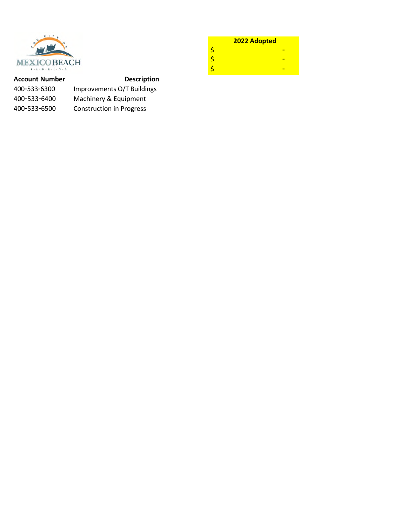

| Account Number |  |
|----------------|--|
|----------------|--|

## **Account Number Description**

| 400-533-6300 | Improvements O/T Buildings      |
|--------------|---------------------------------|
| 400-533-6400 | Machinery & Equipment           |
| 400-533-6500 | <b>Construction in Progress</b> |

| 2022 Adopted |  |  |
|--------------|--|--|
|              |  |  |
| Ś            |  |  |
|              |  |  |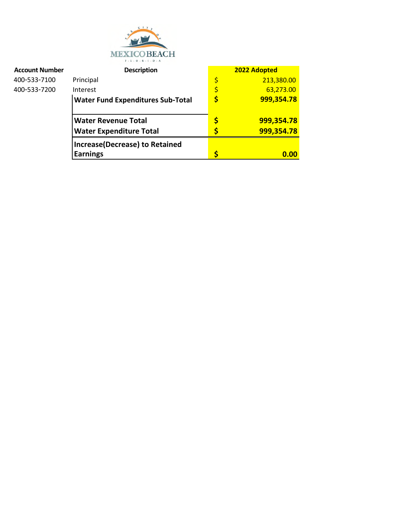

| <b>Account Number</b> | <b>Description</b>                       |    | 2022 Adopted |
|-----------------------|------------------------------------------|----|--------------|
| 400-533-7100          | Principal                                | \$ | 213,380.00   |
| 400-533-7200          | Interest                                 | \$ | 63,273.00    |
|                       | <b>Water Fund Expenditures Sub-Total</b> | \$ | 999,354.78   |
|                       |                                          |    |              |
|                       | <b>Water Revenue Total</b>               |    | 999,354.78   |
|                       | <b>Water Expenditure Total</b>           | S  | 999,354.78   |
|                       | Increase(Decrease) to Retained           |    |              |
|                       | <b>Earnings</b>                          | Ś  | 0.00         |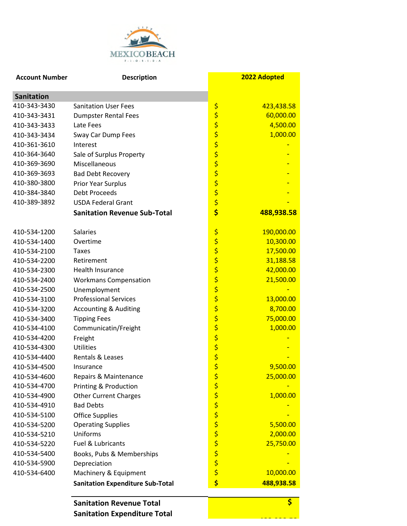

| <b>Account Number</b> | <b>Description</b>                      |               | 2022 Adopted |
|-----------------------|-----------------------------------------|---------------|--------------|
| <b>Sanitation</b>     |                                         |               |              |
| 410-343-3430          | <b>Sanitation User Fees</b>             | \$            | 423,438.58   |
| 410-343-3431          | <b>Dumpster Rental Fees</b>             | \$            | 60,000.00    |
| 410-343-3433          | Late Fees                               | \$            | 4,500.00     |
| 410-343-3434          | Sway Car Dump Fees                      | \$            | 1,000.00     |
| 410-361-3610          | Interest                                | \$            |              |
| 410-364-3640          | Sale of Surplus Property                | \$            |              |
| 410-369-3690          | Miscellaneous                           | \$            |              |
| 410-369-3693          | <b>Bad Debt Recovery</b>                | \$            |              |
| 410-380-3800          | <b>Prior Year Surplus</b>               | \$            |              |
| 410-384-3840          | <b>Debt Proceeds</b>                    | \$            |              |
| 410-389-3892          | <b>USDA Federal Grant</b>               | \$            |              |
|                       | <b>Sanitation Revenue Sub-Total</b>     | \$            | 488,938.58   |
| 410-534-1200          | <b>Salaries</b>                         | \$            | 190,000.00   |
| 410-534-1400          | Overtime                                | \$            | 10,300.00    |
| 410-534-2100          | <b>Taxes</b>                            | \$            | 17,500.00    |
| 410-534-2200          | Retirement                              | \$            | 31,188.58    |
| 410-534-2300          | Health Insurance                        | \$            | 42,000.00    |
| 410-534-2400          | <b>Workmans Compensation</b>            | \$            | 21,500.00    |
| 410-534-2500          | Unemployment                            | \$            |              |
| 410-534-3100          | <b>Professional Services</b>            | \$            | 13,000.00    |
| 410-534-3200          | <b>Accounting &amp; Auditing</b>        | \$            | 8,700.00     |
| 410-534-3400          | <b>Tipping Fees</b>                     | \$            | 75,000.00    |
| 410-534-4100          | Communicatin/Freight                    | \$            | 1,000.00     |
| 410-534-4200          | Freight                                 | \$            |              |
| 410-534-4300          | <b>Utilities</b>                        | \$            |              |
| 410-534-4400          | Rentals & Leases                        | \$            |              |
| 410-534-4500          | Insurance                               | \$            | 9,500.00     |
| 410-534-4600          | Repairs & Maintenance                   | \$            | 25,000.00    |
| 410-534-4700          | Printing & Production                   | \$            |              |
| 410-534-4900          | <b>Other Current Charges</b>            | \$            | 1,000.00     |
| 410-534-4910          | <b>Bad Debts</b>                        | \$            |              |
| 410-534-5100          | <b>Office Supplies</b>                  | $\frac{1}{2}$ |              |
| 410-534-5200          | <b>Operating Supplies</b>               |               | 5,500.00     |
| 410-534-5210          | <b>Uniforms</b>                         | \$            | 2,000.00     |
| 410-534-5220          | Fuel & Lubricants                       | \$            | 25,750.00    |
| 410-534-5400          | Books, Pubs & Memberships               | \$            |              |
| 410-534-5900          | Depreciation                            | \$            |              |
| 410-534-6400          | Machinery & Equipment                   | \$            | 10,000.00    |
|                       | <b>Sanitation Expenditure Sub-Total</b> | \$            | 488,938.58   |

**488,938.58**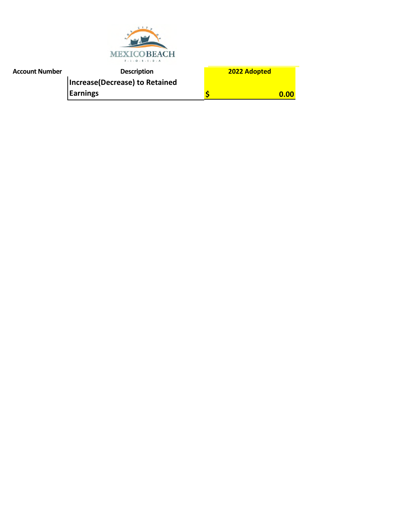

| <b>Account Number</b> | <b>Description</b>             | 2022 Adopted |  |
|-----------------------|--------------------------------|--------------|--|
|                       | Increase(Decrease) to Retained |              |  |
|                       | <b>Earnings</b>                | 0.00         |  |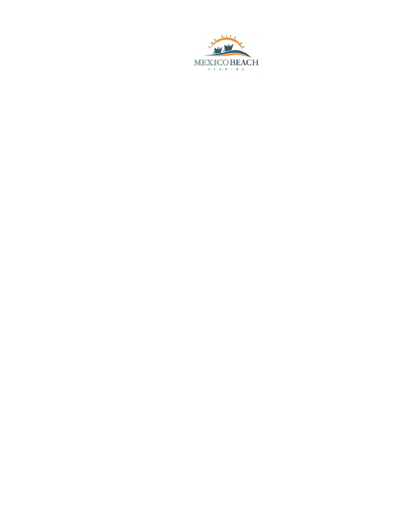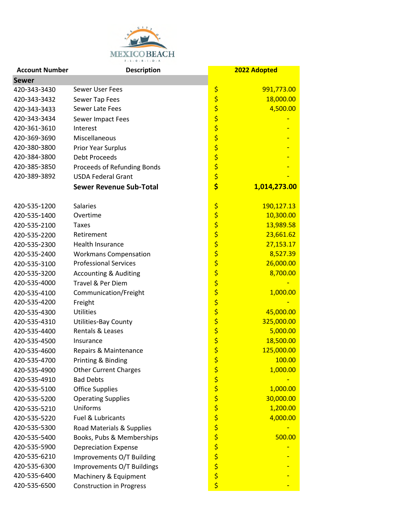

| <b>Account Number</b> | <b>Description</b>               |                                              | 2022 Adopted |
|-----------------------|----------------------------------|----------------------------------------------|--------------|
| <b>Sewer</b>          |                                  |                                              |              |
| 420-343-3430          | <b>Sewer User Fees</b>           | \$                                           | 991,773.00   |
| 420-343-3432          | Sewer Tap Fees                   | \$                                           | 18,000.00    |
| 420-343-3433          | Sewer Late Fees                  | \$                                           | 4,500.00     |
| 420-343-3434          | Sewer Impact Fees                | \$                                           |              |
| 420-361-3610          | Interest                         | \$                                           |              |
| 420-369-3690          | Miscellaneous                    | \$                                           |              |
| 420-380-3800          | <b>Prior Year Surplus</b>        | \$                                           |              |
| 420-384-3800          | <b>Debt Proceeds</b>             |                                              |              |
| 420-385-3850          | Proceeds of Refunding Bonds      | \$                                           |              |
| 420-389-3892          | <b>USDA Federal Grant</b>        | \$                                           |              |
|                       | <b>Sewer Revenue Sub-Total</b>   | \$                                           | 1,014,273.00 |
| 420-535-1200          | <b>Salaries</b>                  | \$                                           | 190,127.13   |
| 420-535-1400          | Overtime                         | \$                                           | 10,300.00    |
| 420-535-2100          | <b>Taxes</b>                     | \$                                           | 13,989.58    |
| 420-535-2200          | Retirement                       | 55                                           | 23,661.62    |
| 420-535-2300          | <b>Health Insurance</b>          |                                              | 27,153.17    |
| 420-535-2400          | <b>Workmans Compensation</b>     |                                              | 8,527.39     |
| 420-535-3100          | <b>Professional Services</b>     | \$                                           | 26,000.00    |
| 420-535-3200          | <b>Accounting &amp; Auditing</b> | \$                                           | 8,700.00     |
| 420-535-4000          | Travel & Per Diem                | \$                                           |              |
| 420-535-4100          | Communication/Freight            | \$                                           | 1,000.00     |
| 420-535-4200          | Freight                          |                                              |              |
| 420-535-4300          | <b>Utilities</b>                 | 55                                           | 45,000.00    |
| 420-535-4310          | <b>Utilities-Bay County</b>      |                                              | 325,000.00   |
| 420-535-4400          | Rentals & Leases                 | $\frac{1}{2}$                                | 5,000.00     |
| 420-535-4500          | Insurance                        |                                              | 18,500.00    |
| 420-535-4600          | Repairs & Maintenance            | \$                                           | 125,000.00   |
| 420-535-4700          | Printing & Binding               | \$                                           | 100.00       |
| 420-535-4900          | <b>Other Current Charges</b>     |                                              | 1,000.00     |
| 420-535-4910          | <b>Bad Debts</b>                 | \$\$\$\$\$                                   |              |
| 420-535-5100          | <b>Office Supplies</b>           |                                              | 1,000.00     |
| 420-535-5200          | <b>Operating Supplies</b>        |                                              | 30,000.00    |
| 420-535-5210          | Uniforms                         |                                              | 1,200.00     |
| 420-535-5220          | Fuel & Lubricants                |                                              | 4,000.00     |
| 420-535-5300          | Road Materials & Supplies        | $\begin{array}{c}\n5 \\ 5 \\ 5\n\end{array}$ |              |
| 420-535-5400          | Books, Pubs & Memberships        |                                              | 500.00       |
| 420-535-5900          | <b>Depreciation Expense</b>      |                                              |              |
| 420-535-6210          | Improvements O/T Building        | $\frac{1}{2}$                                |              |
| 420-535-6300          | Improvements O/T Buildings       |                                              |              |
| 420-535-6400          | Machinery & Equipment            | $\frac{1}{2}$                                |              |
| 420-535-6500          | <b>Construction in Progress</b>  | \$                                           |              |
|                       |                                  |                                              |              |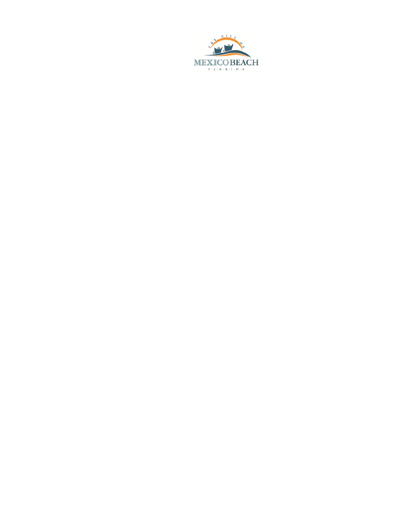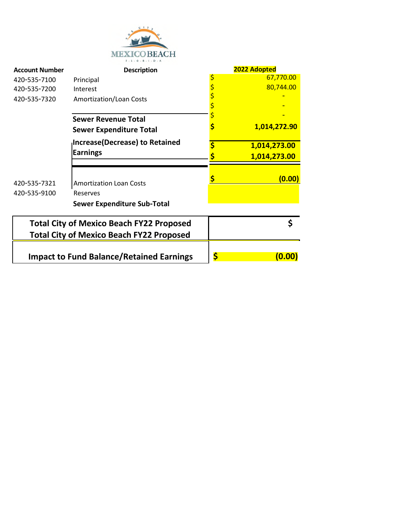

| <b>Account Number</b> | <b>Description</b>                              | 2022 Adopted        |
|-----------------------|-------------------------------------------------|---------------------|
| 420-535-7100          | Principal                                       | 67,770.00           |
| 420-535-7200          | Interest                                        | 80,744.00           |
| 420-535-7320          | Amortization/Loan Costs                         |                     |
|                       |                                                 |                     |
|                       | <b>Sewer Revenue Total</b>                      |                     |
|                       | <b>Sewer Expenditure Total</b>                  | 1,014,272.90        |
|                       |                                                 |                     |
|                       | Increase(Decrease) to Retained                  | \$<br>1,014,273.00  |
|                       | <b>Earnings</b>                                 | 1,014,273.00        |
|                       |                                                 |                     |
|                       |                                                 | (0.00)              |
| 420-535-7321          | <b>Amortization Loan Costs</b>                  |                     |
| 420-535-9100          | Reserves                                        |                     |
|                       | <b>Sewer Expenditure Sub-Total</b>              |                     |
|                       |                                                 |                     |
|                       | <b>Total City of Mexico Beach FY22 Proposed</b> | \$                  |
|                       | <b>Total City of Mexico Beach FY22 Proposed</b> |                     |
|                       |                                                 |                     |
|                       |                                                 |                     |
|                       | <b>Impact to Fund Balance/Retained Earnings</b> | \$<br>$\bm{ 0.00 }$ |